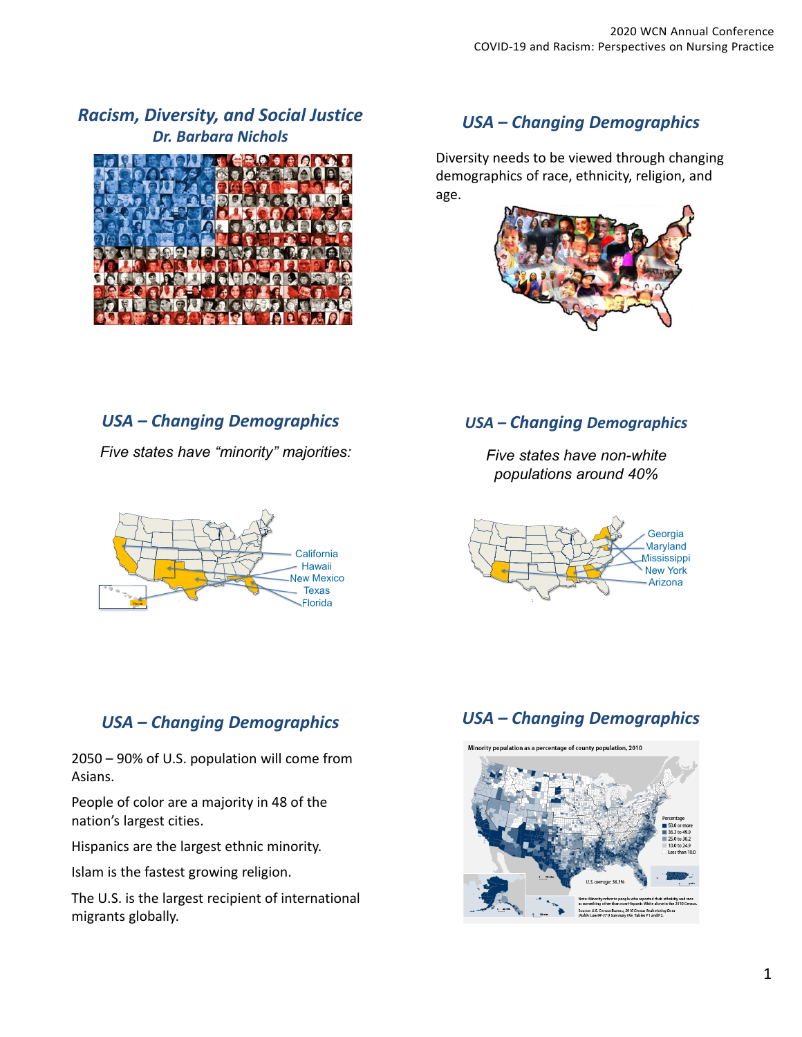# *Racism, Diversity, and Social Justice Dr. Barbara Nichols*



# *USA –Changing Demographics*

Diversity needs to be viewed through changing demographics of race, ethnicity, religion, and age.



# *USA – Changing Demographics*

*Five states have "minority" majorities:*



### *USA – Changing Demographics*

*Five states have non-white populations around 40%*



# *USA – Changing Demographics*

# *USA – Changing Demographics*

2050 – 90% of U.S. population will come from Asians.

People of color are a majority in 48 of the nation's largest cities.

Hispanics are the largest ethnic minority.

Islam is the fastest growing religion.

The U.S. is the largest recipient of international migrants globally.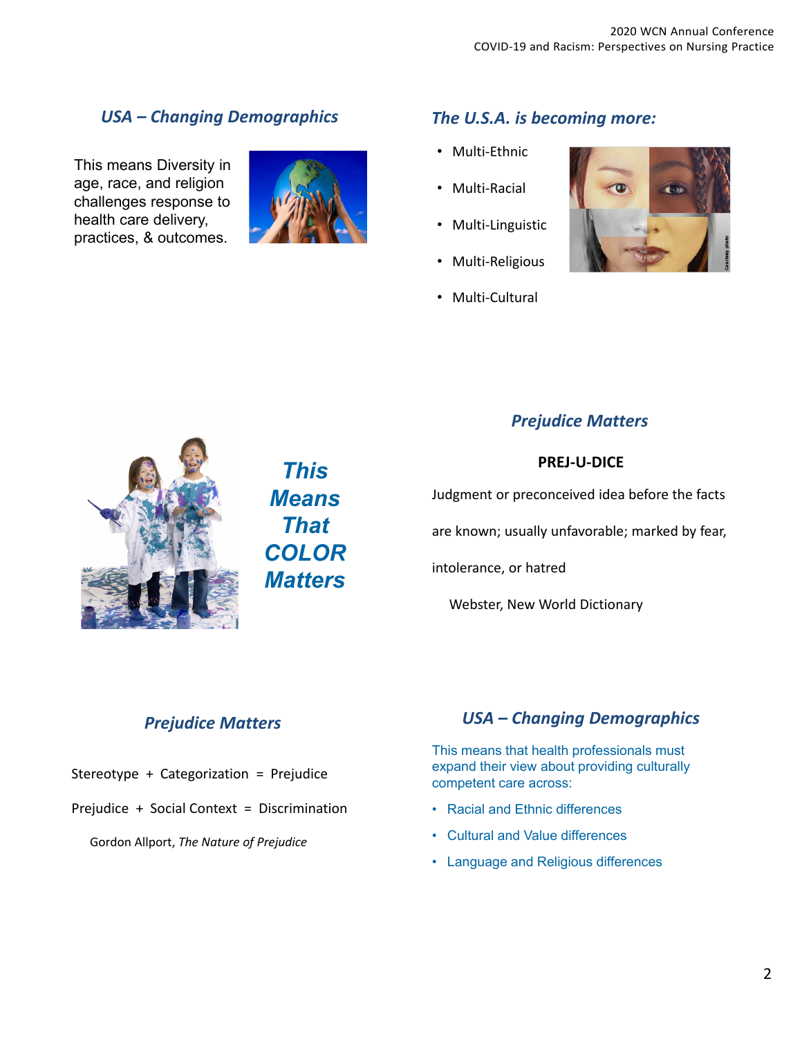# *USA – Changing Demographics*

This means Diversity in age, race, and religion challenges response to health care delivery, practices, & outcomes.



## *The U.S.A. is becoming more:*

- Multi‐Ethnic
- Multi‐Racial
- Multi-Linguistic
- Multi-Religious
- Multi-Cultural





*This Means That COLOR Matters*

### *Prejudice Matters*

#### **PREJ‐U‐DICE**

Judgment or preconceived idea before the facts

are known; usually unfavorable; marked by fear,

intolerance, or hatred

Webster, New World Dictionary

#### *Prejudice Matters*

- Stereotype + Categorization = Prejudice
- Prejudice + Social Context = Discrimination

Gordon Allport, *The Nature of Prejudice*

### *USA – Changing Demographics*

This means that health professionals must expand their view about providing culturally competent care across:

- Racial and Ethnic differences
- Cultural and Value differences
- Language and Religious differences